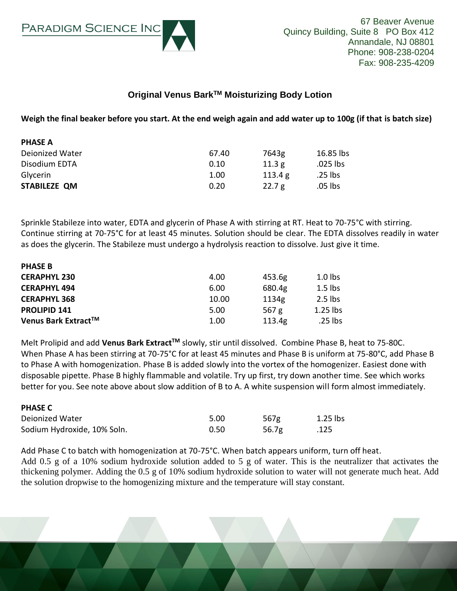

**PHASE C**

## **Original Venus BarkTM Moisturizing Body Lotion**

**Weigh the final beaker before you start. At the end weigh again and add water up to 100g (if that is batch size)**

| <b>PHASE A</b>         |       |         |           |
|------------------------|-------|---------|-----------|
| <b>Deionized Water</b> | 67.40 | 7643g   | 16.85 lbs |
| Disodium EDTA          | 0.10  | 11.3g   | .025 lbs  |
| Glycerin               | 1.00  | 113.4 g | .25 lbs   |
| STABILEZE QM           | 0.20  | 22.7 g  | .05 lbs   |
|                        |       |         |           |

Sprinkle Stabileze into water, EDTA and glycerin of Phase A with stirring at RT. Heat to 70-75°C with stirring. Continue stirring at 70-75°C for at least 45 minutes. Solution should be clear. The EDTA dissolves readily in water as does the glycerin. The Stabileze must undergo a hydrolysis reaction to dissolve. Just give it time.

| <b>PHASE B</b>      |       |         |            |
|---------------------|-------|---------|------------|
| <b>CERAPHYL 230</b> | 4.00  | 453.6g  | $1.0$ lbs  |
| <b>CERAPHYL 494</b> | 6.00  | 680.4g  | $1.5$ lbs  |
| <b>CERAPHYL 368</b> | 10.00 | 1134g   | $2.5$ lbs  |
| <b>PROLIPID 141</b> | 5.00  | 567 $g$ | $1.25$ lbs |
| Venus Bark Extract™ | 1.00  | 113.4g  | .25 lbs    |

Melt Prolipid and add **Venus Bark ExtractTM** slowly, stir until dissolved. Combine Phase B, heat to 75-80C. When Phase A has been stirring at 70-75°C for at least 45 minutes and Phase B is uniform at 75-80°C, add Phase B to Phase A with homogenization. Phase B is added slowly into the vortex of the homogenizer. Easiest done with disposable pipette. Phase B highly flammable and volatile. Try up first, try down another time. See which works better for you. See note above about slow addition of B to A. A white suspension will form almost immediately.

| PNASE L                     |      |       |            |
|-----------------------------|------|-------|------------|
| Deionized Water             | 5.00 | 567g  | $1.25$ lbs |
| Sodium Hydroxide, 10% Soln. | 0.50 | 56.7g | .125       |

Add Phase C to batch with homogenization at 70-75°C. When batch appears uniform, turn off heat. Add 0.5 g of a 10% sodium hydroxide solution added to 5 g of water. This is the neutralizer that activates the thickening polymer. Adding the 0.5 g of 10% sodium hydroxide solution to water will not generate much heat. Add the solution dropwise to the homogenizing mixture and the temperature will stay constant.